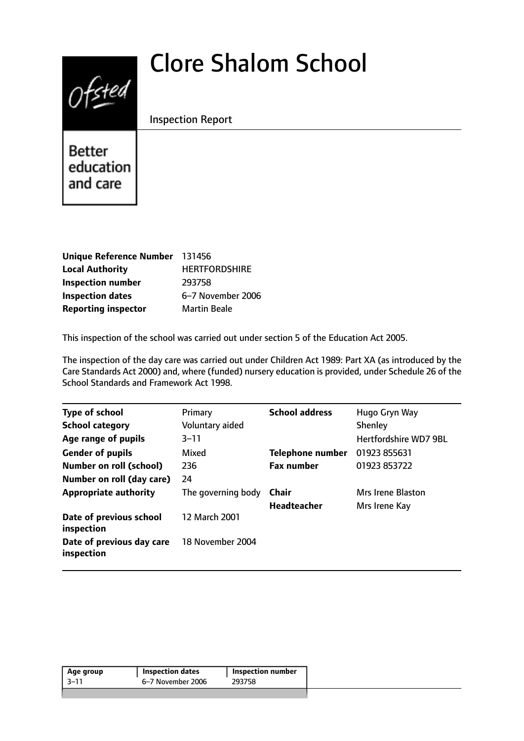# Clore Shalom School



Inspection Report

Better education and care

| Unique Reference Number 131456 |                      |
|--------------------------------|----------------------|
| <b>Local Authority</b>         | <b>HERTFORDSHIRE</b> |
| <b>Inspection number</b>       | 293758               |
| <b>Inspection dates</b>        | 6-7 November 2006    |
| <b>Reporting inspector</b>     | <b>Martin Beale</b>  |

This inspection of the school was carried out under section 5 of the Education Act 2005.

The inspection of the day care was carried out under Children Act 1989: Part XA (as introduced by the Care Standards Act 2000) and, where (funded) nursery education is provided, under Schedule 26 of the School Standards and Framework Act 1998.

| <b>Type of school</b>                   | Primary            | <b>School address</b> | Hugo Gryn Way                |
|-----------------------------------------|--------------------|-----------------------|------------------------------|
| <b>School category</b>                  | Voluntary aided    |                       | Shenley                      |
| Age range of pupils                     | $3 - 11$           |                       | <b>Hertfordshire WD7 9BL</b> |
| <b>Gender of pupils</b>                 | Mixed              | Telephone number      | 01923 855631                 |
| <b>Number on roll (school)</b>          | 236                | <b>Fax number</b>     | 01923 853722                 |
| Number on roll (day care)               | 24                 |                       |                              |
| <b>Appropriate authority</b>            | The governing body | Chair                 | Mrs Irene Blaston            |
|                                         |                    | <b>Headteacher</b>    | Mrs Irene Kay                |
| Date of previous school<br>inspection   | 12 March 2001      |                       |                              |
| Date of previous day care<br>inspection | 18 November 2004   |                       |                              |
|                                         |                    |                       |                              |

| Age group | <b>Inspection dates</b> | Inspection number |
|-----------|-------------------------|-------------------|
| -3–11     | 6–7 November 2006       | 293758            |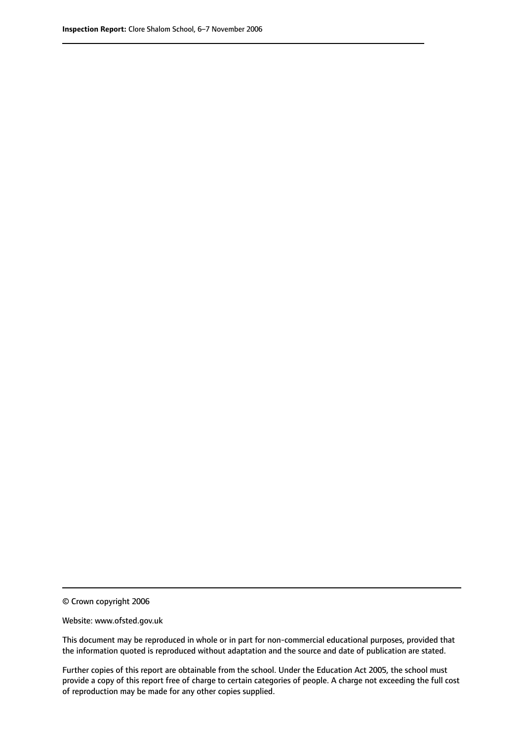© Crown copyright 2006

Website: www.ofsted.gov.uk

This document may be reproduced in whole or in part for non-commercial educational purposes, provided that the information quoted is reproduced without adaptation and the source and date of publication are stated.

Further copies of this report are obtainable from the school. Under the Education Act 2005, the school must provide a copy of this report free of charge to certain categories of people. A charge not exceeding the full cost of reproduction may be made for any other copies supplied.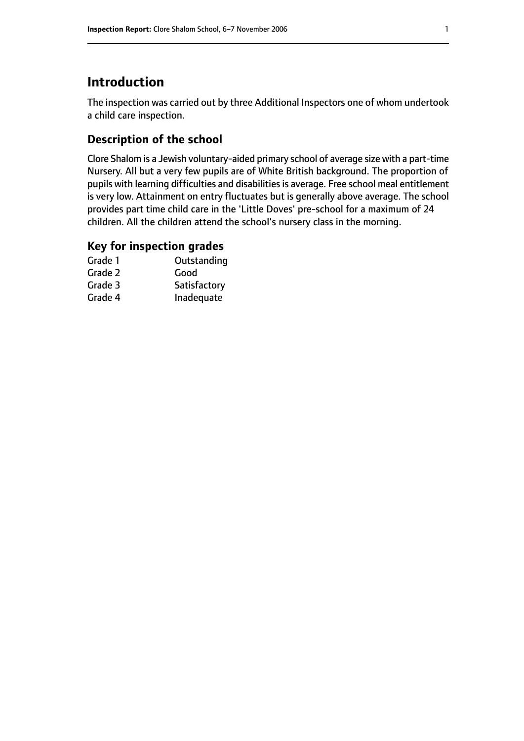## **Introduction**

The inspection was carried out by three Additional Inspectors one of whom undertook a child care inspection.

#### **Description of the school**

Clore Shalom is a Jewish voluntary-aided primary school of average size with a part-time Nursery. All but a very few pupils are of White British background. The proportion of pupils with learning difficulties and disabilities is average. Free school meal entitlement is very low. Attainment on entry fluctuates but is generally above average. The school provides part time child care in the 'Little Doves' pre-school for a maximum of 24 children. All the children attend the school's nursery class in the morning.

#### **Key for inspection grades**

| Grade 1 | Outstanding  |
|---------|--------------|
| Grade 2 | Good         |
| Grade 3 | Satisfactory |
| Grade 4 | Inadequate   |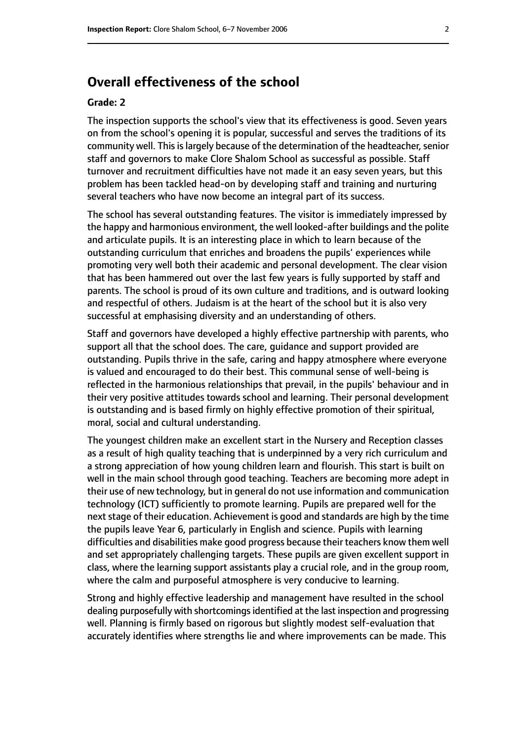## **Overall effectiveness of the school**

#### **Grade: 2**

The inspection supports the school's view that its effectiveness is good. Seven years on from the school's opening it is popular, successful and serves the traditions of its community well. This is largely because of the determination of the headteacher, senior staff and governors to make Clore Shalom School as successful as possible. Staff turnover and recruitment difficulties have not made it an easy seven years, but this problem has been tackled head-on by developing staff and training and nurturing several teachers who have now become an integral part of its success.

The school has several outstanding features. The visitor is immediately impressed by the happy and harmonious environment, the well looked-after buildings and the polite and articulate pupils. It is an interesting place in which to learn because of the outstanding curriculum that enriches and broadens the pupils' experiences while promoting very well both their academic and personal development. The clear vision that has been hammered out over the last few years is fully supported by staff and parents. The school is proud of its own culture and traditions, and is outward looking and respectful of others. Judaism is at the heart of the school but it is also very successful at emphasising diversity and an understanding of others.

Staff and governors have developed a highly effective partnership with parents, who support all that the school does. The care, guidance and support provided are outstanding. Pupils thrive in the safe, caring and happy atmosphere where everyone is valued and encouraged to do their best. This communal sense of well-being is reflected in the harmonious relationships that prevail, in the pupils' behaviour and in their very positive attitudes towards school and learning. Their personal development is outstanding and is based firmly on highly effective promotion of their spiritual, moral, social and cultural understanding.

The youngest children make an excellent start in the Nursery and Reception classes as a result of high quality teaching that is underpinned by a very rich curriculum and a strong appreciation of how young children learn and flourish. This start is built on well in the main school through good teaching. Teachers are becoming more adept in their use of new technology, but in general do not use information and communication technology (ICT) sufficiently to promote learning. Pupils are prepared well for the next stage of their education. Achievement is good and standards are high by the time the pupils leave Year 6, particularly in English and science. Pupils with learning difficulties and disabilities make good progress because their teachers know them well and set appropriately challenging targets. These pupils are given excellent support in class, where the learning support assistants play a crucial role, and in the group room, where the calm and purposeful atmosphere is very conducive to learning.

Strong and highly effective leadership and management have resulted in the school dealing purposefully with shortcomings identified at the last inspection and progressing well. Planning is firmly based on rigorous but slightly modest self-evaluation that accurately identifies where strengths lie and where improvements can be made. This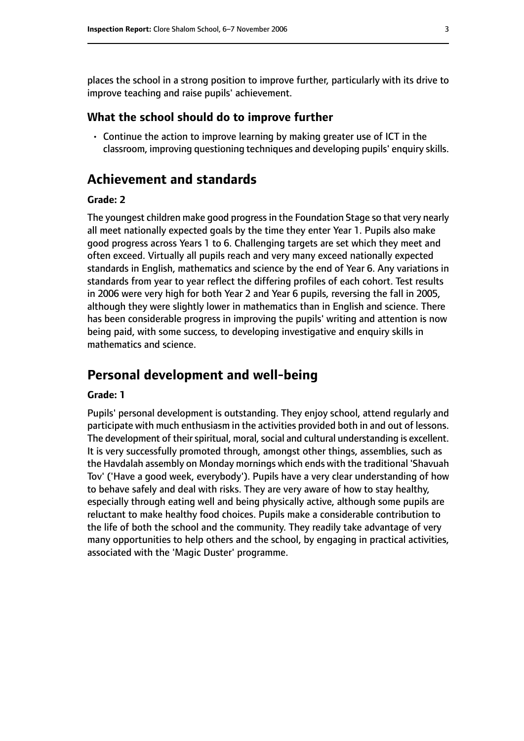places the school in a strong position to improve further, particularly with its drive to improve teaching and raise pupils' achievement.

#### **What the school should do to improve further**

• Continue the action to improve learning by making greater use of ICT in the classroom, improving questioning techniques and developing pupils' enquiry skills.

## **Achievement and standards**

#### **Grade: 2**

The youngest children make good progressin the Foundation Stage so that very nearly all meet nationally expected goals by the time they enter Year 1. Pupils also make good progress across Years 1 to 6. Challenging targets are set which they meet and often exceed. Virtually all pupils reach and very many exceed nationally expected standards in English, mathematics and science by the end of Year 6. Any variations in standards from year to year reflect the differing profiles of each cohort. Test results in 2006 were very high for both Year 2 and Year 6 pupils, reversing the fall in 2005, although they were slightly lower in mathematics than in English and science. There has been considerable progress in improving the pupils' writing and attention is now being paid, with some success, to developing investigative and enquiry skills in mathematics and science.

## **Personal development and well-being**

#### **Grade: 1**

Pupils' personal development is outstanding. They enjoy school, attend regularly and participate with much enthusiasm in the activities provided both in and out of lessons. The development of their spiritual, moral, social and cultural understanding is excellent. It is very successfully promoted through, amongst other things, assemblies, such as the Havdalah assembly on Monday mornings which ends with the traditional 'Shavuah Tov' ('Have a good week, everybody'). Pupils have a very clear understanding of how to behave safely and deal with risks. They are very aware of how to stay healthy, especially through eating well and being physically active, although some pupils are reluctant to make healthy food choices. Pupils make a considerable contribution to the life of both the school and the community. They readily take advantage of very many opportunities to help others and the school, by engaging in practical activities, associated with the 'Magic Duster' programme.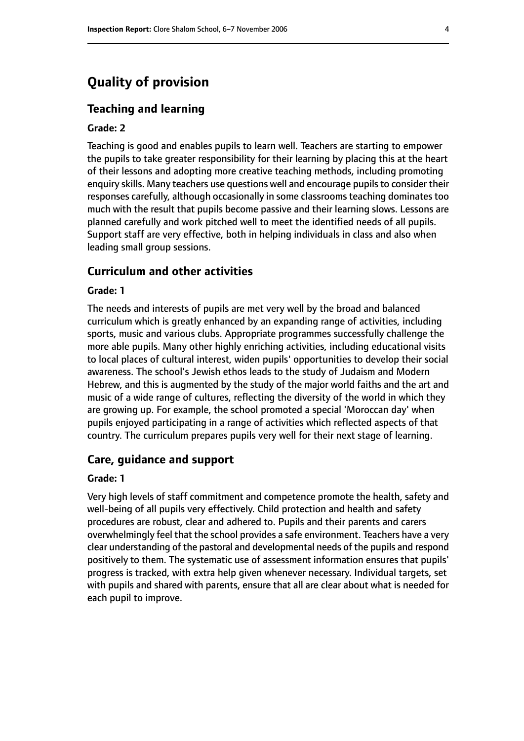## **Quality of provision**

#### **Teaching and learning**

#### **Grade: 2**

Teaching is good and enables pupils to learn well. Teachers are starting to empower the pupils to take greater responsibility for their learning by placing this at the heart of their lessons and adopting more creative teaching methods, including promoting enquiry skills. Many teachers use questions well and encourage pupils to consider their responses carefully, although occasionally in some classrooms teaching dominates too much with the result that pupils become passive and their learning slows. Lessons are planned carefully and work pitched well to meet the identified needs of all pupils. Support staff are very effective, both in helping individuals in class and also when leading small group sessions.

#### **Curriculum and other activities**

#### **Grade: 1**

The needs and interests of pupils are met very well by the broad and balanced curriculum which is greatly enhanced by an expanding range of activities, including sports, music and various clubs. Appropriate programmes successfully challenge the more able pupils. Many other highly enriching activities, including educational visits to local places of cultural interest, widen pupils' opportunities to develop their social awareness. The school's Jewish ethos leads to the study of Judaism and Modern Hebrew, and this is augmented by the study of the major world faiths and the art and music of a wide range of cultures, reflecting the diversity of the world in which they are growing up. For example, the school promoted a special 'Moroccan day' when pupils enjoyed participating in a range of activities which reflected aspects of that country. The curriculum prepares pupils very well for their next stage of learning.

#### **Care, guidance and support**

#### **Grade: 1**

Very high levels of staff commitment and competence promote the health, safety and well-being of all pupils very effectively. Child protection and health and safety procedures are robust, clear and adhered to. Pupils and their parents and carers overwhelmingly feel that the school provides a safe environment. Teachers have a very clear understanding of the pastoral and developmental needs of the pupils and respond positively to them. The systematic use of assessment information ensures that pupils' progress is tracked, with extra help given whenever necessary. Individual targets, set with pupils and shared with parents, ensure that all are clear about what is needed for each pupil to improve.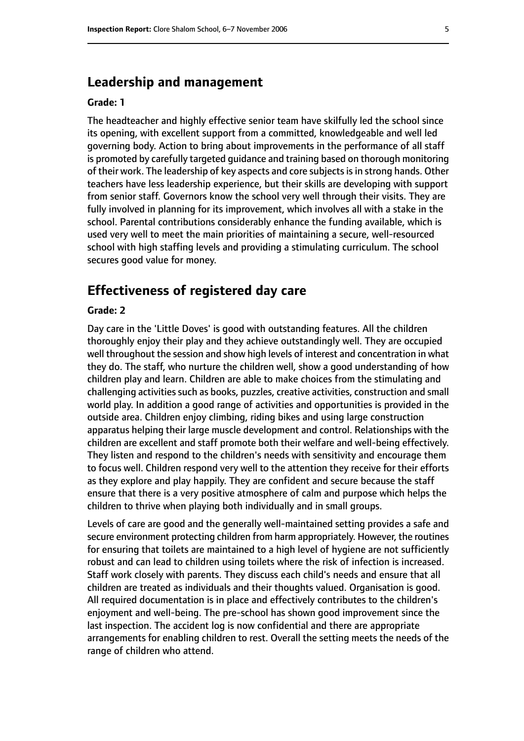## **Leadership and management**

#### **Grade: 1**

The headteacher and highly effective senior team have skilfully led the school since its opening, with excellent support from a committed, knowledgeable and well led governing body. Action to bring about improvements in the performance of all staff is promoted by carefully targeted guidance and training based on thorough monitoring of their work. The leadership of key aspects and core subjects is in strong hands. Other teachers have less leadership experience, but their skills are developing with support from senior staff. Governors know the school very well through their visits. They are fully involved in planning for its improvement, which involves all with a stake in the school. Parental contributions considerably enhance the funding available, which is used very well to meet the main priorities of maintaining a secure, well-resourced school with high staffing levels and providing a stimulating curriculum. The school secures good value for money.

## **Effectiveness of registered day care**

#### **Grade: 2**

Day care in the 'Little Doves' is good with outstanding features. All the children thoroughly enjoy their play and they achieve outstandingly well. They are occupied well throughout the session and show high levels of interest and concentration in what they do. The staff, who nurture the children well, show a good understanding of how children play and learn. Children are able to make choices from the stimulating and challenging activities such as books, puzzles, creative activities, construction and small world play. In addition a good range of activities and opportunities is provided in the outside area. Children enjoy climbing, riding bikes and using large construction apparatus helping their large muscle development and control. Relationships with the children are excellent and staff promote both their welfare and well-being effectively. They listen and respond to the children's needs with sensitivity and encourage them to focus well. Children respond very well to the attention they receive for their efforts as they explore and play happily. They are confident and secure because the staff ensure that there is a very positive atmosphere of calm and purpose which helps the children to thrive when playing both individually and in small groups.

Levels of care are good and the generally well-maintained setting provides a safe and secure environment protecting children from harm appropriately. However, the routines for ensuring that toilets are maintained to a high level of hygiene are not sufficiently robust and can lead to children using toilets where the risk of infection is increased. Staff work closely with parents. They discuss each child's needs and ensure that all children are treated as individuals and their thoughts valued. Organisation is good. All required documentation is in place and effectively contributes to the children's enjoyment and well-being. The pre-school has shown good improvement since the last inspection. The accident log is now confidential and there are appropriate arrangements for enabling children to rest. Overall the setting meets the needs of the range of children who attend.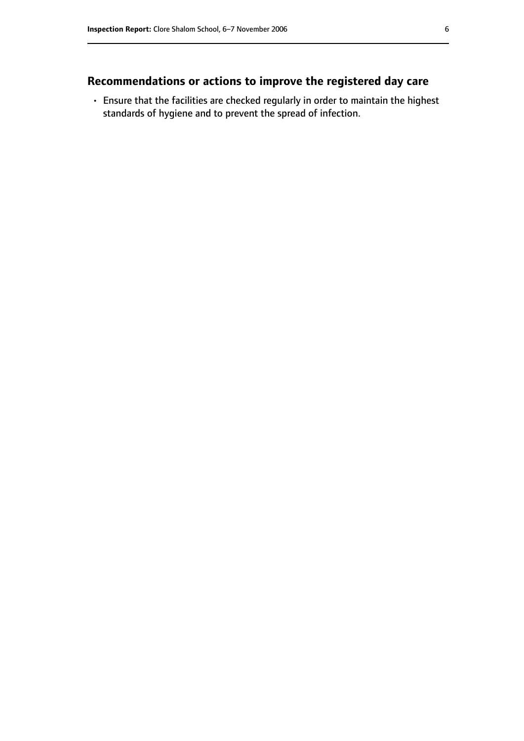## **Recommendations or actions to improve the registered day care**

• Ensure that the facilities are checked regularly in order to maintain the highest standards of hygiene and to prevent the spread of infection.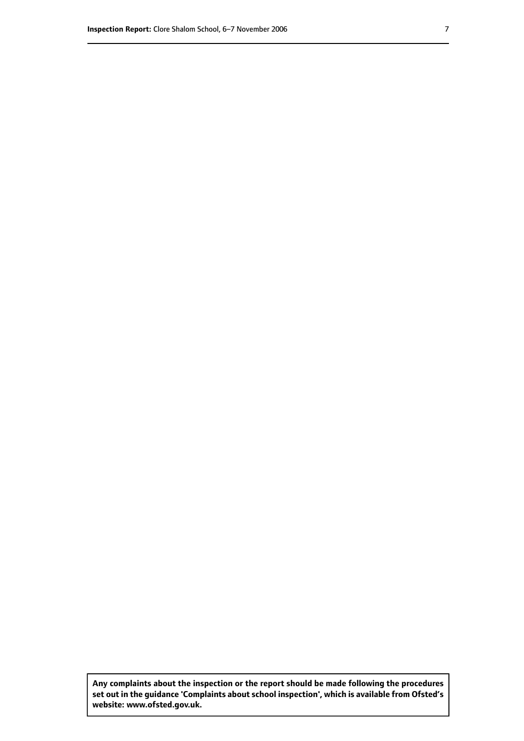**Any complaints about the inspection or the report should be made following the procedures set out inthe guidance 'Complaints about school inspection', whichis available from Ofsted's website: www.ofsted.gov.uk.**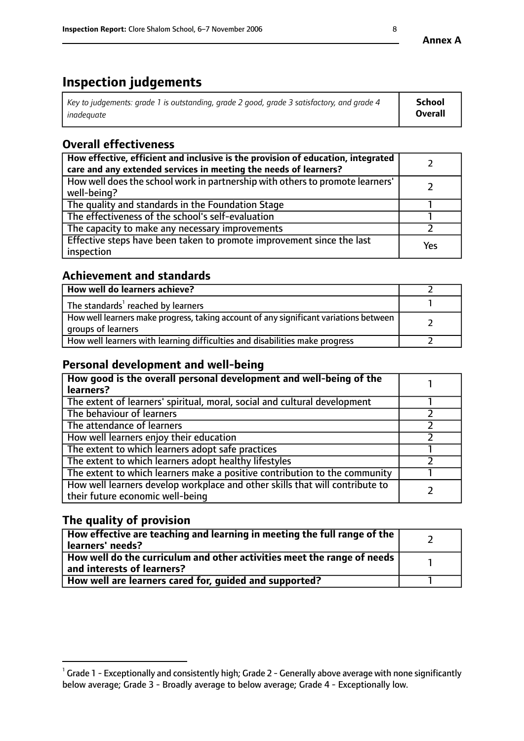# **Inspection judgements**

| Key to judgements: grade 1 is outstanding, grade 2 good, grade 3 satisfactory, and grade 4 | School  |
|--------------------------------------------------------------------------------------------|---------|
| inadeauate                                                                                 | Overall |

## **Overall effectiveness**

| How effective, efficient and inclusive is the provision of education, integrated<br>care and any extended services in meeting the needs of learners? |     |
|------------------------------------------------------------------------------------------------------------------------------------------------------|-----|
| How well does the school work in partnership with others to promote learners'<br>well-being?                                                         |     |
| The quality and standards in the Foundation Stage                                                                                                    |     |
| The effectiveness of the school's self-evaluation                                                                                                    |     |
| The capacity to make any necessary improvements                                                                                                      |     |
| Effective steps have been taken to promote improvement since the last<br>inspection                                                                  | Yes |

## **Achievement and standards**

| How well do learners achieve?                                                                               |  |
|-------------------------------------------------------------------------------------------------------------|--|
| The standards <sup>1</sup> reached by learners                                                              |  |
| How well learners make progress, taking account of any significant variations between<br>groups of learners |  |
| How well learners with learning difficulties and disabilities make progress                                 |  |

## **Personal development and well-being**

| How good is the overall personal development and well-being of the<br>learners?                                  |  |
|------------------------------------------------------------------------------------------------------------------|--|
| The extent of learners' spiritual, moral, social and cultural development                                        |  |
| The behaviour of learners                                                                                        |  |
| The attendance of learners                                                                                       |  |
| How well learners enjoy their education                                                                          |  |
| The extent to which learners adopt safe practices                                                                |  |
| The extent to which learners adopt healthy lifestyles                                                            |  |
| The extent to which learners make a positive contribution to the community                                       |  |
| How well learners develop workplace and other skills that will contribute to<br>their future economic well-being |  |

## **The quality of provision**

| How effective are teaching and learning in meeting the full range of the<br>  learners' needs?                      |  |
|---------------------------------------------------------------------------------------------------------------------|--|
| $\mid$ How well do the curriculum and other activities meet the range of needs<br>$\mid$ and interests of learners? |  |
| How well are learners cared for, guided and supported?                                                              |  |

 $^1$  Grade 1 - Exceptionally and consistently high; Grade 2 - Generally above average with none significantly below average; Grade 3 - Broadly average to below average; Grade 4 - Exceptionally low.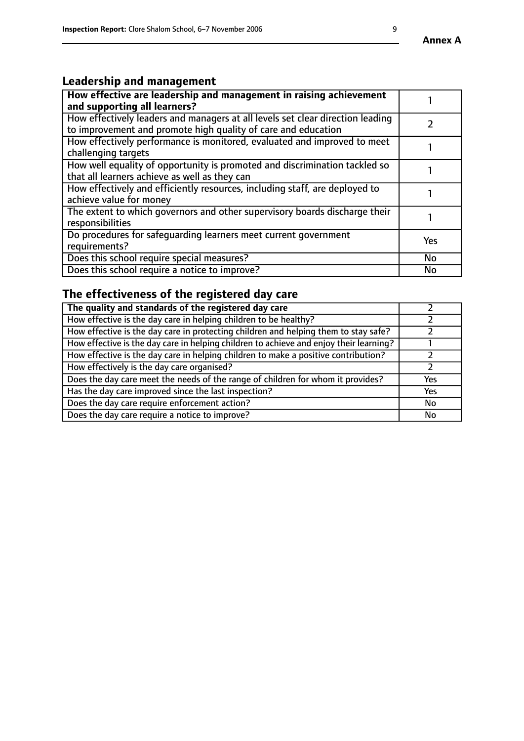## **Leadership and management**

| How effective are leadership and management in raising achievement<br>and supporting all learners?                                              |           |
|-------------------------------------------------------------------------------------------------------------------------------------------------|-----------|
| How effectively leaders and managers at all levels set clear direction leading<br>to improvement and promote high quality of care and education |           |
| How effectively performance is monitored, evaluated and improved to meet<br>challenging targets                                                 |           |
| How well equality of opportunity is promoted and discrimination tackled so<br>that all learners achieve as well as they can                     |           |
| How effectively and efficiently resources, including staff, are deployed to<br>achieve value for money                                          |           |
| The extent to which governors and other supervisory boards discharge their<br>responsibilities                                                  |           |
| Do procedures for safequarding learners meet current government<br>requirements?                                                                | Yes       |
| Does this school require special measures?                                                                                                      | <b>No</b> |
| Does this school require a notice to improve?                                                                                                   | <b>No</b> |

# **The effectiveness of the registered day care**

| The quality and standards of the registered day care                                   |            |
|----------------------------------------------------------------------------------------|------------|
| How effective is the day care in helping children to be healthy?                       |            |
| How effective is the day care in protecting children and helping them to stay safe?    |            |
| How effective is the day care in helping children to achieve and enjoy their learning? |            |
| How effective is the day care in helping children to make a positive contribution?     |            |
| How effectively is the day care organised?                                             |            |
| Does the day care meet the needs of the range of children for whom it provides?        | <b>Yes</b> |
| Has the day care improved since the last inspection?                                   | Yes        |
| Does the day care require enforcement action?                                          | No         |
| Does the day care require a notice to improve?                                         | No         |